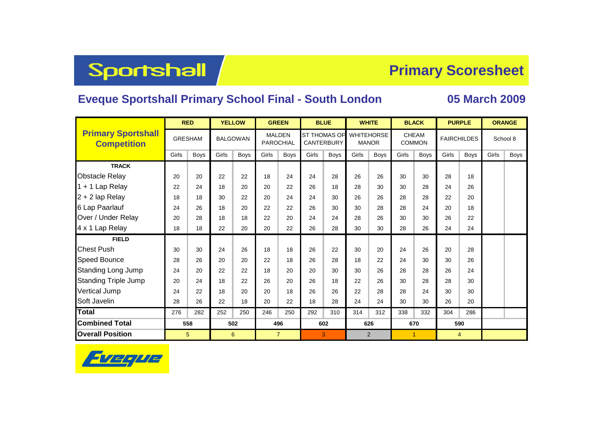## Sportshall

## **Primary Scoresheet**

## **Eveque Sportshall Primary School Final - South London 05 March 2009**

|                                                 |                | <b>RED</b>  | <b>YELLOW</b>   |             | <b>GREEN</b>                      |             | <b>BLUE</b>                       |             | <b>WHITE</b>                      |                |                               | <b>BLACK</b>         |                    | <b>PURPLE</b> | <b>ORANGE</b> |             |  |
|-------------------------------------------------|----------------|-------------|-----------------|-------------|-----------------------------------|-------------|-----------------------------------|-------------|-----------------------------------|----------------|-------------------------------|----------------------|--------------------|---------------|---------------|-------------|--|
| <b>Primary Sportshall</b><br><b>Competition</b> | <b>GRESHAM</b> |             | <b>BALGOWAN</b> |             | <b>MALDEN</b><br><b>PAROCHIAL</b> |             | ST THOMAS OF<br><b>CANTERBURY</b> |             | <b>WHITEHORSE</b><br><b>MANOR</b> |                | <b>CHEAM</b><br><b>COMMON</b> |                      | <b>FAIRCHILDES</b> |               | School 8      |             |  |
|                                                 | Girls          | <b>Boys</b> | Girls           | <b>Boys</b> | Girls                             | <b>Boys</b> | Girls                             | <b>Boys</b> | Girls                             | <b>Boys</b>    | Girls                         | <b>Boys</b>          | Girls              | <b>Boys</b>   | Girls         | <b>Boys</b> |  |
| <b>TRACK</b>                                    |                |             |                 |             |                                   |             |                                   |             |                                   |                |                               |                      |                    |               |               |             |  |
| <b>Obstacle Relay</b>                           | 20             | 20          | 22              | 22          | 18                                | 24          | 24                                | 28          | 26                                | 26             | 30                            | 30                   | 28                 | 18            |               |             |  |
| 1 + 1 Lap Relay                                 | 22             | 24          | 18              | 20          | 20                                | 22          | 26                                | 18          | 28                                | 30             | 30                            | 28                   | 24                 | 26            |               |             |  |
| 2 + 2 lap Relay                                 | 18             | 18          | 30              | 22          | 20                                | 24          | 24                                | 30          | 26                                | 26             | 28                            | 28                   | 22                 | 20            |               |             |  |
| 6 Lap Paarlauf                                  | 24             | 26          | 18              | 20          | 22                                | 22          | 26                                | 30          | 30                                | 28             | 28                            | 24                   | 20                 | 18            |               |             |  |
| Over / Under Relay                              | 20             | 28          | 18              | 18          | 22                                | 20          | 24                                | 24          | 28                                | 26             | 30                            | 30                   | 26                 | 22            |               |             |  |
| 4 x 1 Lap Relay                                 | 18             | 18          | 22              | 20          | 20                                | 22          | 26                                | 28          | 30                                | 30             | 28                            | 26                   | 24                 | 24            |               |             |  |
| <b>FIELD</b>                                    |                |             |                 |             |                                   |             |                                   |             |                                   |                |                               |                      |                    |               |               |             |  |
| <b>Chest Push</b>                               | 30             | 30          | 24              | 26          | 18                                | 18          | 26                                | 22          | 30                                | 20             | 24                            | 26                   | 20                 | 28            |               |             |  |
| Speed Bounce                                    | 28             | 26          | 20              | 20          | 22                                | 18          | 26                                | 28          | 18                                | 22             | 24                            | 30                   | 30                 | 26            |               |             |  |
| <b>Standing Long Jump</b>                       | 24             | 20          | 22              | 22          | 18                                | 20          | 20                                | 30          | 30                                | 26             | 28                            | 28                   | 26                 | 24            |               |             |  |
| <b>Standing Triple Jump</b>                     | 20             | 24          | 18              | 22          | 26                                | 20          | 26                                | 18          | 22                                | 26             | 30                            | 28                   | 28                 | 30            |               |             |  |
| <b>Vertical Jump</b>                            | 24             | 22          | 18              | 20          | 20                                | 18          | 26                                | 26          | 22                                | 28             | 28                            | 24                   | 30                 | 30            |               |             |  |
| Soft Javelin                                    | 28             | 26          | 22              | 18          | 20                                | 22          | 18                                | 28          | 24                                | 24             | 30                            | 30                   | 26                 | 20            |               |             |  |
| <b>Total</b>                                    | 276            | 282         | 252             | 250         | 246                               | 250         | 292                               | 310         | 314                               | 312            | 338                           | 332                  | 304                | 286           |               |             |  |
| <b>Combined Total</b>                           | 558            |             | 502             |             | 496                               |             | 602                               |             | 626                               |                |                               | 670                  |                    | 590           |               |             |  |
| <b>Overall Position</b>                         | $\sqrt{5}$     |             | 6               |             | $\overline{7}$                    |             | 3                                 |             |                                   | $\overline{2}$ |                               | $\blacktriangleleft$ |                    | 4             |               |             |  |

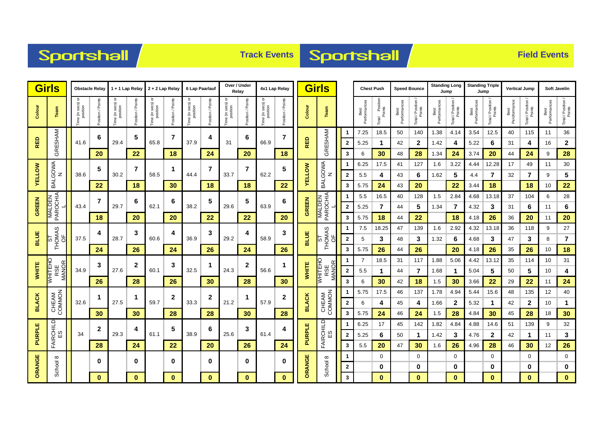



|                               | <b>Girls</b>    | Obstacle Relay      |                   |                                 |                   | 1 + 1 Lap Relay 2 + 2 Lap Relay    |                     | 6 Lap Paarlauf                    |                    | Over / Under<br>Relay              |                | 4x1 Lap Relay                 |                      | Girls         |                                |                   |                      | <b>Chest Push</b>             |                      | <b>Speed Bounce</b>        |                     | <b>Standing Long</b><br>Jump | <b>Standing Triple</b><br>Jump |                            | <b>Vertical Jump</b> |                              | <b>Soft Javelin</b>  |                  |
|-------------------------------|-----------------|---------------------|-------------------|---------------------------------|-------------------|------------------------------------|---------------------|-----------------------------------|--------------------|------------------------------------|----------------|-------------------------------|----------------------|---------------|--------------------------------|-------------------|----------------------|-------------------------------|----------------------|----------------------------|---------------------|------------------------------|--------------------------------|----------------------------|----------------------|------------------------------|----------------------|------------------|
| Colour                        | Team            | ੋ<br>Time (in secs) | Position / Points | ō<br>Time (in secs)<br>position | Position / Points | ō<br>(in secs)<br>position<br>Time | Points<br>osition / | e (in secs) or<br>position<br>emi | Point<br>osition / | e (in secs) or<br>position<br>Time | osition / Poin | Time (in secs) or<br>position | Points<br>Position / | Colour        | Team                           |                   | Best<br>Performances | I Position<br>Points<br>Total | Best<br>Performances | Total / Position<br>Points | Performance<br>Best | Total / Position<br>Points   | Performance<br>Best            | Total / Position<br>Points | Peroformance<br>Best | Total / Position /<br>Points | Best<br>Performances | Total / Position |
|                               |                 |                     | 6                 |                                 | 5                 |                                    | 7                   |                                   | 4                  |                                    | 6              |                               | 7                    |               |                                |                   | 7.25                 | 18.5                          | 50                   | 140                        | 1.38                | 4.14                         | 3.54                           | 12.5                       | 40                   | 115                          | 11                   | 36               |
| <b>RED</b>                    | GRESHAM         | 41.6                |                   | 29.4                            |                   | 65.8                               |                     | 37.9                              |                    | 31                                 |                | 66.9                          |                      | RED           | GRESHAM                        | $\mathbf{2}$      | 5.25                 | 1                             | 42                   | $\mathbf{2}$               | 1.42                | 4                            | 5.22                           | 6                          | 31                   | 4                            | 16                   | $\mathbf{2}$     |
|                               |                 |                     | 20                |                                 | 22                |                                    | 18                  |                                   | 24                 |                                    | 20             |                               | 18                   |               |                                | 3                 | 6                    | 30                            | 48                   | 28                         | 1.34                | 24                           | 3.74                           | 20                         | 44                   | 24                           | 9                    | 28               |
|                               | BALGOWA<br>N    |                     | 5                 |                                 | 7                 |                                    | -1                  |                                   | 7                  |                                    | 7              |                               | 5                    |               | BALGOWA<br>N                   |                   | 6.25                 | 17.5                          | 41                   | 127                        | 1.6                 | 3.22                         | 4.44                           | 12.28                      | 17                   | 49                           | 11                   | $30\,$           |
| <b>XELLOW</b>                 |                 | 38.6                |                   | 30.2                            |                   | 58.5                               |                     | 44.4                              |                    | 33.7                               |                | 62.2                          |                      | <b>AELTOM</b> |                                | $\overline{2}$    | 5.5                  | 4                             | 43                   | 6                          | 1.62                | 5                            | 4.4                            | $\overline{7}$             | 32                   | $\overline{7}$               | 9                    | 5                |
|                               |                 |                     | 22                |                                 | 18                |                                    | 30                  |                                   | 18                 |                                    | 18             |                               | 22                   |               |                                | 3                 | 5.75                 | 24                            | 43                   | 20                         |                     | 22                           | 3.44                           | 18                         |                      | 18                           | 10                   | 22               |
| <b>GREEN</b><br><b>MALDEN</b> | PAROCHIA        | 43.4                | $\overline{7}$    |                                 | 6                 |                                    | 6                   |                                   | 5                  | 29.6                               | 5              |                               | 6                    |               | PAROCHIA<br><b>MALDEN</b>      | 1                 | 5.5                  | 16.5                          | 40                   | 128                        | 1.5                 | 2.84                         | 4.68                           | 13.18                      | 37                   | 104                          | 6                    | 28               |
|                               |                 |                     |                   | 29.7                            |                   | 62.1                               |                     | 38.2                              |                    |                                    |                | 63.9                          |                      | GREEN         |                                | $\mathbf{2}$      | 5.25                 | 7                             | 44                   | 5                          | 1.34                | $\overline{\mathbf{r}}$      | 4.32                           | 3                          | 31                   | 6                            | 11                   | 6                |
|                               |                 |                     | 18                |                                 | 20                |                                    | 20                  |                                   | 22                 |                                    | 22             |                               | 20                   |               |                                | 3                 | 5.75                 | 18                            | 44                   | 22                         |                     | 18                           | 4.18                           | 26                         | 36                   | 20                           | 11                   | 20               |
| <b>BLUE</b>                   | ST<br>THOMAS    |                     | 4                 |                                 | 3                 |                                    | 4                   |                                   | 3                  |                                    | 4              |                               | 3                    |               | ST ST OF                       | 1                 | 7.5                  | 18.25                         | 47                   | 139                        | 1.6                 | 2.92                         | 4.32                           | 13.18                      | 36                   | 118                          | 9                    | 27               |
|                               |                 | 37.5                |                   | 28.7                            |                   | 60.6                               |                     | 36.9                              |                    | 29.2                               |                | 58.9                          |                      | <b>BLUE</b>   |                                | $\mathbf{2}$      | 5                    | 3                             | 48                   | 3                          | 1.32                | 6                            | 4.68                           | 3                          | 47                   | 3                            | 8                    | $\overline{7}$   |
|                               |                 |                     | 24                |                                 | 26                |                                    | 24                  |                                   | 26                 |                                    | 24             |                               | 26                   |               |                                | 3                 | 5.75                 | 26                            | 44                   | 26                         |                     | 20                           | 4.18                           | 26                         | 35                   | 26                           | 10                   | 18               |
|                               | WHITEHO<br>RSE  |                     | 3                 |                                 | $\mathbf{2}$      |                                    | 3                   |                                   | 1                  |                                    | $\mathbf{2}$   |                               | 1.                   |               | <b>WHITEHO</b><br>MANOR<br>RSE |                   |                      | 18.5                          | 31                   | 117                        | 1.88                | 5.06                         | 4.42                           | 13.12                      | 35                   | 114                          | 10                   | 31               |
| <b>WHITE</b>                  | <b>MANOR</b>    | 34.9                |                   | 27.6                            |                   | 60.1                               |                     | 32.5                              |                    | 24.3                               |                | 56.6                          |                      | WHITE         |                                | $\mathbf{2}$      | 5.5                  | 1                             | 44                   | 7                          | 1.68                | 1                            | 5.04                           | 5                          | 50                   | 5                            | 10                   | 4                |
|                               |                 |                     | 26                |                                 | 28                |                                    | 26                  |                                   | 30                 |                                    | 28             |                               | 30                   |               |                                | 3                 | 6                    | 30                            | 42                   | 18                         | 1.5                 | 30                           | 3.66                           | 22                         | 29                   | 22                           | 11                   | 24               |
|                               |                 |                     | 1                 |                                 | -1                |                                    | $\mathbf{2}$        |                                   | $\mathbf{2}$       |                                    | 1              |                               | 2                    |               |                                | 1                 | 5.75                 | 17.5                          | 46                   | 137                        | 1.78                | 4.94                         | 5.44                           | 15.6                       | 48                   | 135                          | 12                   | 40               |
| <b>BLACK</b>                  | CHEAM<br>COMMON | 32.6                |                   | 27.5                            |                   | 59.7                               |                     | 33.3                              |                    | 21.2                               |                | 57.9                          |                      | <b>BLACK</b>  | CHEAM<br>COMMON                | $\mathbf{2}$      | 6                    | 4                             | 45                   | 4                          | 1.66                | $\mathbf{2}$                 | 5.32                           | 1                          | 42                   | $\mathbf{2}$                 | 10                   | $\mathbf 1$      |
|                               |                 |                     | 30                |                                 | 30                |                                    | 28                  |                                   | 28                 |                                    | 30             |                               | 28                   |               |                                | 3                 | 5.75<br>6.25         | 24                            | 46                   | 24<br>142                  | 1.5                 | 28                           | 4.84                           | 30<br>14.6                 | 45                   | 28                           | 18                   | 30               |
| <b>PURPLE</b>                 |                 | 34                  | $\boldsymbol{2}$  | 29.3                            | 4                 | 61.1                               | 5                   | 38.9                              | 6                  | 25.6                               | 3              | 61.4                          | 4                    | <b>PURPLE</b> |                                | 1                 |                      | 17<br>6                       | 45                   |                            | 1.82                | 4.84<br>3                    | 4.88                           | $\mathbf{2}$               | 51                   | 139                          | 9<br>11              | 32<br>3          |
|                               | FAIRCHILD<br>ES |                     | 28                |                                 | 24                |                                    | 22                  |                                   | 20                 |                                    | 26             |                               | 24                   |               | FAIRCHILD<br>ES                | $\mathbf{2}$<br>3 | 5.25<br>5.5          | 20                            | 50<br>47             | 1<br>30                    | 1.42<br>1.6         | 26                           | 4.76<br>4.96                   | 28                         | 42<br>46             | 1<br>30                      | 12                   | 26               |
|                               |                 |                     |                   |                                 |                   |                                    |                     |                                   |                    |                                    |                |                               |                      |               |                                | 1                 |                      | 0                             |                      | 0                          |                     | 0                            |                                | 0                          |                      | 0                            |                      | $\mathbf 0$      |
|                               | School 8        |                     | $\bf{0}$          |                                 | $\bf{0}$          |                                    | $\bf{0}$            |                                   | 0                  |                                    | 0              |                               | 0                    | ORANGE        | School 8                       | $\mathbf{2}$      |                      | 0                             |                      | $\bf{0}$                   |                     | $\bf{0}$                     |                                | 0                          |                      | 0                            |                      | 0                |
| ORANGE                        |                 |                     | $\bf{0}$          |                                 | $\bf{0}$          |                                    | $\bf{0}$            |                                   | 0                  |                                    | $\mathbf{0}$   |                               | 0                    |               |                                | 3                 |                      | $\mathbf{0}$                  |                      | $\bf{0}$                   |                     | $\bf{0}$                     |                                | $\bf{0}$                   |                      | $\bf{0}$                     |                      | $\bf{0}$         |
|                               |                 |                     |                   |                                 |                   |                                    |                     |                                   |                    |                                    |                |                               |                      |               |                                |                   |                      |                               |                      |                            |                     |                              |                                |                            |                      |                              |                      |                  |